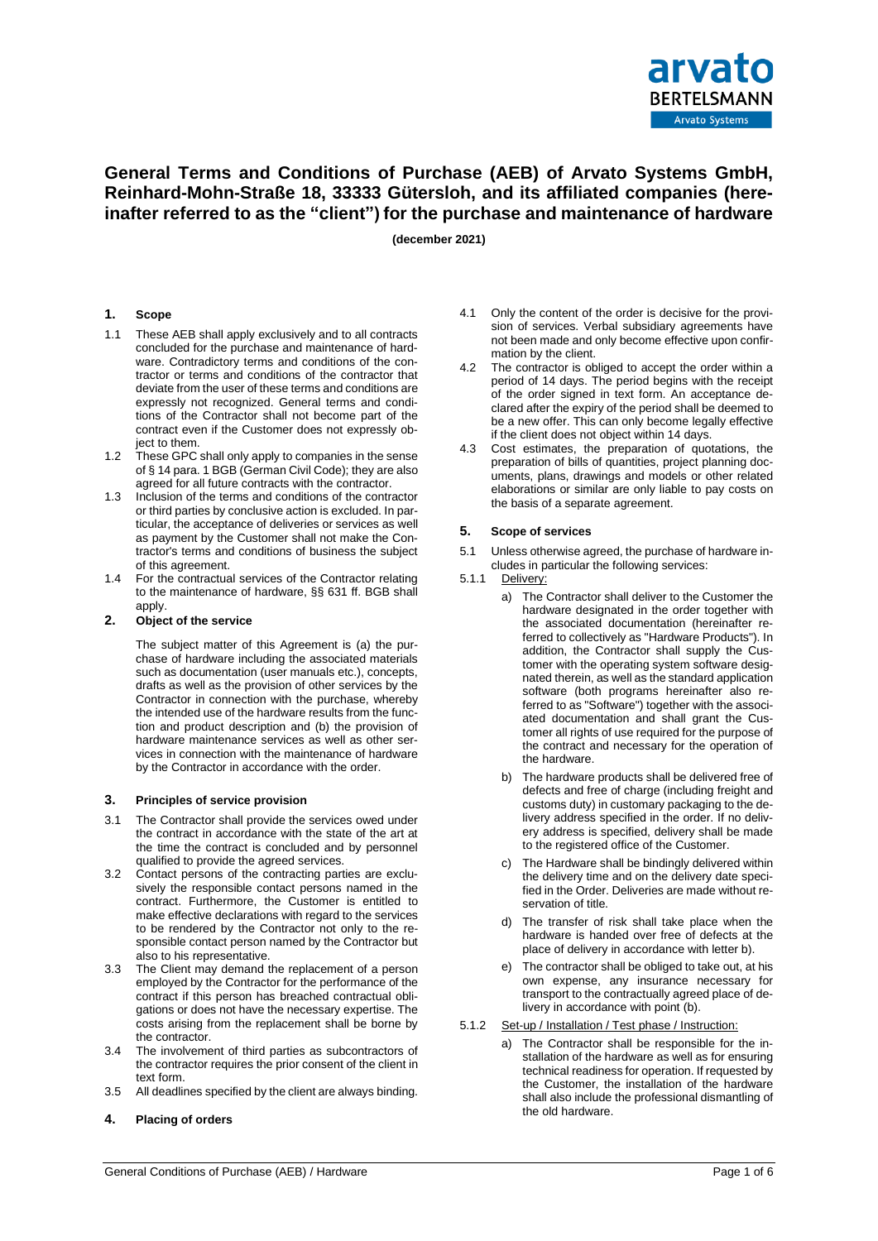

# **General Terms and Conditions of Purchase (AEB) of Arvato Systems GmbH, Reinhard-Mohn-Straße 18, 33333 Gütersloh, and its affiliated companies (hereinafter referred to as the "client") for the purchase and maintenance of hardware**

**(december 2021)**

# **1. Scope**

- 1.1 These AEB shall apply exclusively and to all contracts concluded for the purchase and maintenance of hardware. Contradictory terms and conditions of the contractor or terms and conditions of the contractor that deviate from the user of these terms and conditions are expressly not recognized. General terms and conditions of the Contractor shall not become part of the contract even if the Customer does not expressly object to them.
- 1.2 These GPC shall only apply to companies in the sense of § 14 para. 1 BGB (German Civil Code); they are also agreed for all future contracts with the contractor.
- 1.3 Inclusion of the terms and conditions of the contractor or third parties by conclusive action is excluded. In particular, the acceptance of deliveries or services as well as payment by the Customer shall not make the Contractor's terms and conditions of business the subject of this agreement.
- 1.4 For the contractual services of the Contractor relating to the maintenance of hardware, §§ 631 ff. BGB shall apply.

#### **2. Object of the service**

The subject matter of this Agreement is (a) the purchase of hardware including the associated materials such as documentation (user manuals etc.), concepts, drafts as well as the provision of other services by the Contractor in connection with the purchase, whereby the intended use of the hardware results from the function and product description and (b) the provision of hardware maintenance services as well as other services in connection with the maintenance of hardware by the Contractor in accordance with the order.

#### **3. Principles of service provision**

- 3.1 The Contractor shall provide the services owed under the contract in accordance with the state of the art at the time the contract is concluded and by personnel qualified to provide the agreed services.
- 3.2 Contact persons of the contracting parties are exclusively the responsible contact persons named in the contract. Furthermore, the Customer is entitled to make effective declarations with regard to the services to be rendered by the Contractor not only to the responsible contact person named by the Contractor but also to his representative.
- 3.3 The Client may demand the replacement of a person employed by the Contractor for the performance of the contract if this person has breached contractual obligations or does not have the necessary expertise. The costs arising from the replacement shall be borne by the contractor.
- 3.4 The involvement of third parties as subcontractors of the contractor requires the prior consent of the client in text form.
- 3.5 All deadlines specified by the client are always binding.
- **4. Placing of orders**
- 4.1 Only the content of the order is decisive for the provision of services. Verbal subsidiary agreements have not been made and only become effective upon confirmation by the client.
- 4.2 The contractor is obliged to accept the order within a period of 14 days. The period begins with the receipt of the order signed in text form. An acceptance declared after the expiry of the period shall be deemed to be a new offer. This can only become legally effective if the client does not object within 14 days.
- 4.3 Cost estimates, the preparation of quotations, the preparation of bills of quantities, project planning documents, plans, drawings and models or other related elaborations or similar are only liable to pay costs on the basis of a separate agreement.

# **5. Scope of services**

- 5.1 Unless otherwise agreed, the purchase of hardware includes in particular the following services:
- 5.1.1 Delivery:
	- a) The Contractor shall deliver to the Customer the hardware designated in the order together with the associated documentation (hereinafter referred to collectively as "Hardware Products"). In addition, the Contractor shall supply the Customer with the operating system software designated therein, as well as the standard application software (both programs hereinafter also referred to as "Software") together with the associated documentation and shall grant the Customer all rights of use required for the purpose of the contract and necessary for the operation of the hardware.
	- b) The hardware products shall be delivered free of defects and free of charge (including freight and customs duty) in customary packaging to the delivery address specified in the order. If no delivery address is specified, delivery shall be made to the registered office of the Customer.
	- c) The Hardware shall be bindingly delivered within the delivery time and on the delivery date specified in the Order. Deliveries are made without reservation of title.
	- d) The transfer of risk shall take place when the hardware is handed over free of defects at the place of delivery in accordance with letter b).
	- The contractor shall be obliged to take out, at his own expense, any insurance necessary for transport to the contractually agreed place of delivery in accordance with point (b).
- 5.1.2 Set-up / Installation / Test phase / Instruction:
	- a) The Contractor shall be responsible for the installation of the hardware as well as for ensuring technical readiness for operation. If requested by the Customer, the installation of the hardware shall also include the professional dismantling of the old hardware.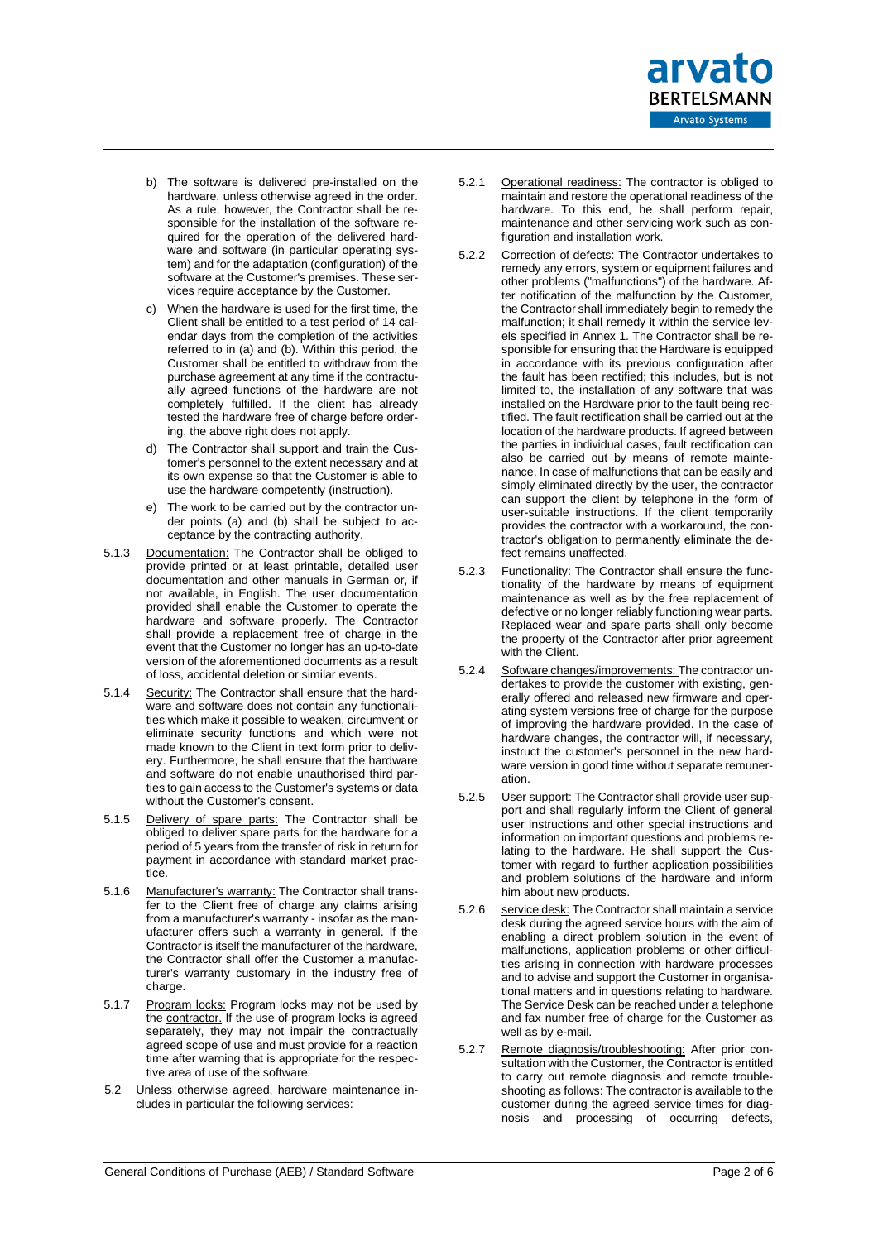

- b) The software is delivered pre-installed on the hardware, unless otherwise agreed in the order. As a rule, however, the Contractor shall be responsible for the installation of the software required for the operation of the delivered hardware and software (in particular operating system) and for the adaptation (configuration) of the software at the Customer's premises. These services require acceptance by the Customer.
- c) When the hardware is used for the first time, the Client shall be entitled to a test period of 14 calendar days from the completion of the activities referred to in (a) and (b). Within this period, the Customer shall be entitled to withdraw from the purchase agreement at any time if the contractually agreed functions of the hardware are not completely fulfilled. If the client has already tested the hardware free of charge before ordering, the above right does not apply.
- d) The Contractor shall support and train the Customer's personnel to the extent necessary and at its own expense so that the Customer is able to use the hardware competently (instruction).
- e) The work to be carried out by the contractor under points (a) and (b) shall be subject to acceptance by the contracting authority.
- 5.1.3 Documentation: The Contractor shall be obliged to provide printed or at least printable, detailed user documentation and other manuals in German or, if not available, in English. The user documentation provided shall enable the Customer to operate the hardware and software properly. The Contractor shall provide a replacement free of charge in the event that the Customer no longer has an up-to-date version of the aforementioned documents as a result of loss, accidental deletion or similar events.
- 5.1.4 Security: The Contractor shall ensure that the hardware and software does not contain any functionalities which make it possible to weaken, circumvent or eliminate security functions and which were not made known to the Client in text form prior to delivery. Furthermore, he shall ensure that the hardware and software do not enable unauthorised third parties to gain access to the Customer's systems or data without the Customer's consent.
- 5.1.5 Delivery of spare parts: The Contractor shall be obliged to deliver spare parts for the hardware for a period of 5 years from the transfer of risk in return for payment in accordance with standard market practice.
- 5.1.6 Manufacturer's warranty: The Contractor shall transfer to the Client free of charge any claims arising from a manufacturer's warranty - insofar as the manufacturer offers such a warranty in general. If the Contractor is itself the manufacturer of the hardware, the Contractor shall offer the Customer a manufacturer's warranty customary in the industry free of charge.
- 5.1.7 Program locks: Program locks may not be used by the contractor. If the use of program locks is agreed separately, they may not impair the contractually agreed scope of use and must provide for a reaction time after warning that is appropriate for the respective area of use of the software.
- 5.2 Unless otherwise agreed, hardware maintenance includes in particular the following services:
- 5.2.1 Operational readiness: The contractor is obliged to maintain and restore the operational readiness of the hardware. To this end, he shall perform repair, maintenance and other servicing work such as configuration and installation work.
- 5.2.2 Correction of defects: The Contractor undertakes to remedy any errors, system or equipment failures and other problems ("malfunctions") of the hardware. After notification of the malfunction by the Customer, the Contractor shall immediately begin to remedy the malfunction; it shall remedy it within the service levels specified in Annex 1. The Contractor shall be responsible for ensuring that the Hardware is equipped in accordance with its previous configuration after the fault has been rectified; this includes, but is not limited to, the installation of any software that was installed on the Hardware prior to the fault being rectified. The fault rectification shall be carried out at the location of the hardware products. If agreed between the parties in individual cases, fault rectification can also be carried out by means of remote maintenance. In case of malfunctions that can be easily and simply eliminated directly by the user, the contractor can support the client by telephone in the form of user-suitable instructions. If the client temporarily provides the contractor with a workaround, the contractor's obligation to permanently eliminate the defect remains unaffected.
- 5.2.3 Functionality: The Contractor shall ensure the functionality of the hardware by means of equipment maintenance as well as by the free replacement of defective or no longer reliably functioning wear parts. Replaced wear and spare parts shall only become the property of the Contractor after prior agreement with the Client.
- 5.2.4 Software changes/improvements: The contractor undertakes to provide the customer with existing, generally offered and released new firmware and operating system versions free of charge for the purpose of improving the hardware provided. In the case of hardware changes, the contractor will, if necessary, instruct the customer's personnel in the new hardware version in good time without separate remuneration.
- 5.2.5 User support: The Contractor shall provide user support and shall regularly inform the Client of general user instructions and other special instructions and information on important questions and problems relating to the hardware. He shall support the Customer with regard to further application possibilities and problem solutions of the hardware and inform him about new products.
- 5.2.6 service desk: The Contractor shall maintain a service desk during the agreed service hours with the aim of enabling a direct problem solution in the event of malfunctions, application problems or other difficulties arising in connection with hardware processes and to advise and support the Customer in organisational matters and in questions relating to hardware. The Service Desk can be reached under a telephone and fax number free of charge for the Customer as well as by e-mail.
- 5.2.7 Remote diagnosis/troubleshooting: After prior consultation with the Customer, the Contractor is entitled to carry out remote diagnosis and remote troubleshooting as follows: The contractor is available to the customer during the agreed service times for diagnosis and processing of occurring defects,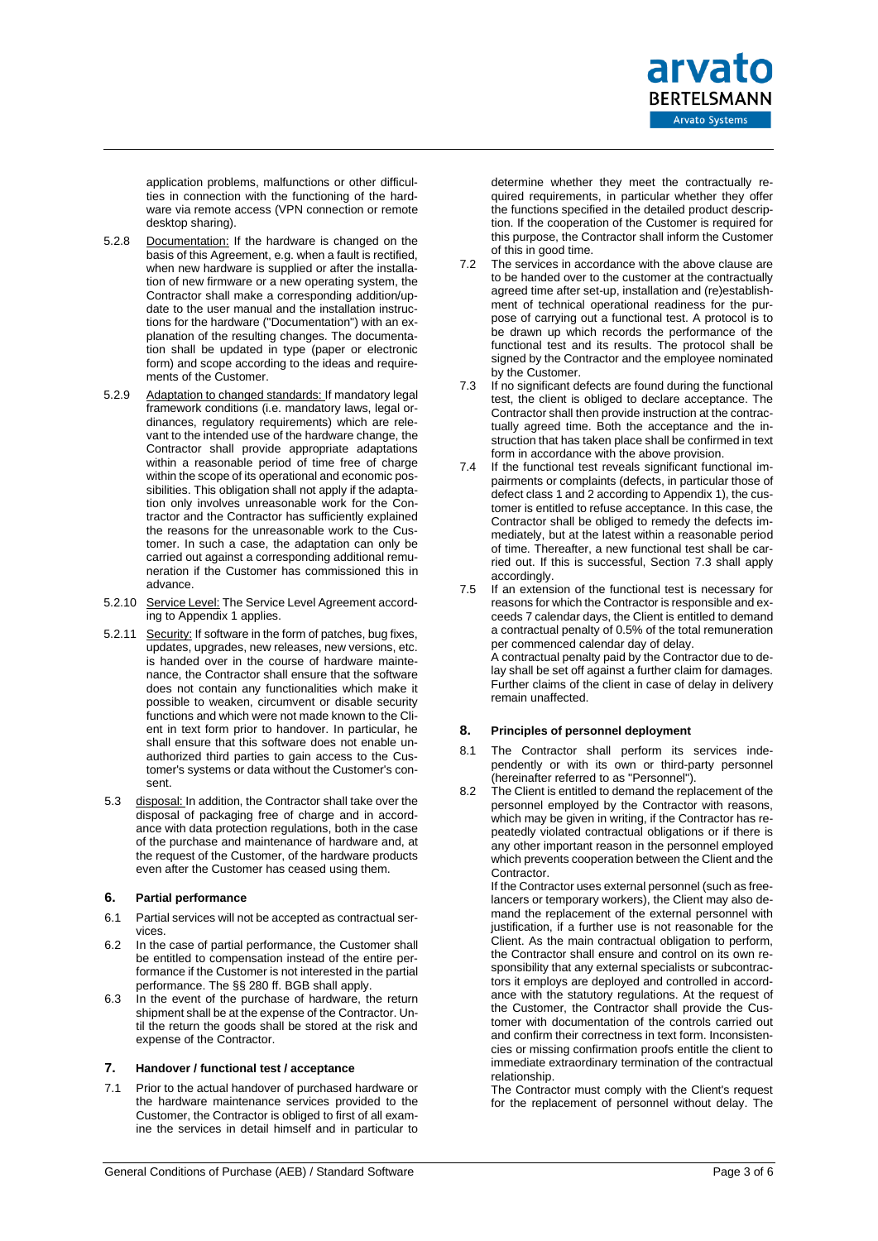

application problems, malfunctions or other difficulties in connection with the functioning of the hardware via remote access (VPN connection or remote desktop sharing).

- 5.2.8 Documentation: If the hardware is changed on the basis of this Agreement, e.g. when a fault is rectified, when new hardware is supplied or after the installation of new firmware or a new operating system, the Contractor shall make a corresponding addition/update to the user manual and the installation instructions for the hardware ("Documentation") with an explanation of the resulting changes. The documentation shall be updated in type (paper or electronic form) and scope according to the ideas and requirements of the Customer.
- 5.2.9 Adaptation to changed standards: If mandatory legal framework conditions (i.e. mandatory laws, legal ordinances, regulatory requirements) which are relevant to the intended use of the hardware change, the Contractor shall provide appropriate adaptations within a reasonable period of time free of charge within the scope of its operational and economic possibilities. This obligation shall not apply if the adaptation only involves unreasonable work for the Contractor and the Contractor has sufficiently explained the reasons for the unreasonable work to the Customer. In such a case, the adaptation can only be carried out against a corresponding additional remuneration if the Customer has commissioned this in advance.
- 5.2.10 Service Level: The Service Level Agreement according to Appendix 1 applies.
- 5.2.11 Security: If software in the form of patches, bug fixes, updates, upgrades, new releases, new versions, etc. is handed over in the course of hardware maintenance, the Contractor shall ensure that the software does not contain any functionalities which make it possible to weaken, circumvent or disable security functions and which were not made known to the Client in text form prior to handover. In particular, he shall ensure that this software does not enable unauthorized third parties to gain access to the Customer's systems or data without the Customer's consent.
- 5.3 disposal: In addition, the Contractor shall take over the disposal of packaging free of charge and in accordance with data protection regulations, both in the case of the purchase and maintenance of hardware and, at the request of the Customer, of the hardware products even after the Customer has ceased using them.

# **6. Partial performance**

- 6.1 Partial services will not be accepted as contractual services.
- 6.2 In the case of partial performance, the Customer shall be entitled to compensation instead of the entire performance if the Customer is not interested in the partial performance. The §§ 280 ff. BGB shall apply.
- 6.3 In the event of the purchase of hardware, the return shipment shall be at the expense of the Contractor. Until the return the goods shall be stored at the risk and expense of the Contractor.

#### **7. Handover / functional test / acceptance**

7.1 Prior to the actual handover of purchased hardware or the hardware maintenance services provided to the Customer, the Contractor is obliged to first of all examine the services in detail himself and in particular to determine whether they meet the contractually required requirements, in particular whether they offer the functions specified in the detailed product description. If the cooperation of the Customer is required for this purpose, the Contractor shall inform the Customer of this in good time.

- 7.2 The services in accordance with the above clause are to be handed over to the customer at the contractually agreed time after set-up, installation and (re)establishment of technical operational readiness for the purpose of carrying out a functional test. A protocol is to be drawn up which records the performance of the functional test and its results. The protocol shall be signed by the Contractor and the employee nominated by the Customer.
- <span id="page-2-0"></span>7.3 If no significant defects are found during the functional test, the client is obliged to declare acceptance. The Contractor shall then provide instruction at the contractually agreed time. Both the acceptance and the instruction that has taken place shall be confirmed in text form in accordance with the above provision.
- If the functional test reveals significant functional impairments or complaints (defects, in particular those of defect class 1 and 2 according to Appendix 1), the customer is entitled to refuse acceptance. In this case, the Contractor shall be obliged to remedy the defects immediately, but at the latest within a reasonable period of time. Thereafter, a new functional test shall be carried out. If this is successful, Section [7.3](#page-2-0) shall apply accordingly.
- 7.5 If an extension of the functional test is necessary for reasons for which the Contractor is responsible and exceeds 7 calendar days, the Client is entitled to demand a contractual penalty of 0.5% of the total remuneration per commenced calendar day of delay. A contractual penalty paid by the Contractor due to delay shall be set off against a further claim for damages. Further claims of the client in case of delay in delivery remain unaffected.

# **8. Principles of personnel deployment**

- 8.1 The Contractor shall perform its services independently or with its own or third-party personnel (hereinafter referred to as "Personnel").
- 8.2 The Client is entitled to demand the replacement of the personnel employed by the Contractor with reasons, which may be given in writing, if the Contractor has repeatedly violated contractual obligations or if there is any other important reason in the personnel employed which prevents cooperation between the Client and the Contractor.

If the Contractor uses external personnel (such as freelancers or temporary workers), the Client may also demand the replacement of the external personnel with justification, if a further use is not reasonable for the Client. As the main contractual obligation to perform, the Contractor shall ensure and control on its own responsibility that any external specialists or subcontractors it employs are deployed and controlled in accordance with the statutory regulations. At the request of the Customer, the Contractor shall provide the Customer with documentation of the controls carried out and confirm their correctness in text form. Inconsistencies or missing confirmation proofs entitle the client to immediate extraordinary termination of the contractual relationship.

The Contractor must comply with the Client's request for the replacement of personnel without delay. The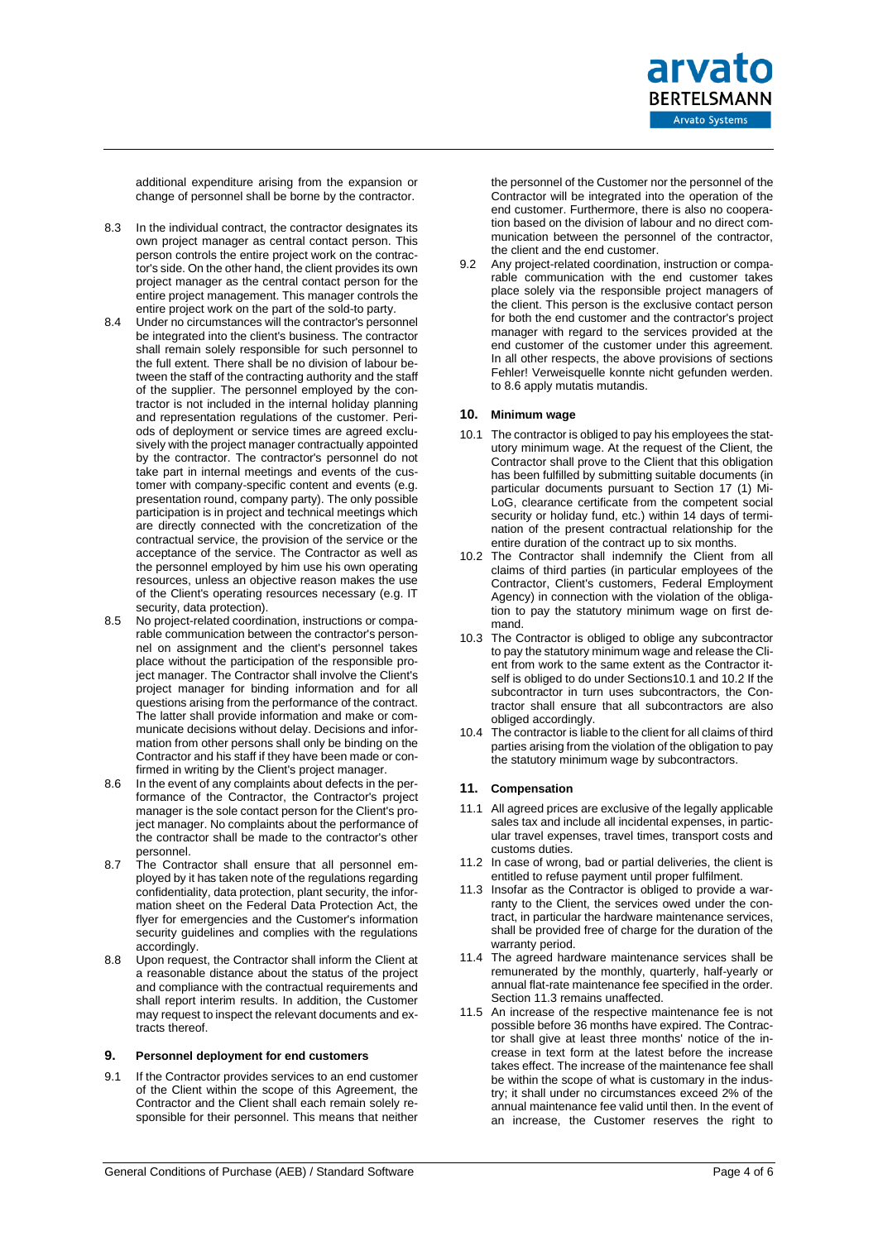

additional expenditure arising from the expansion or change of personnel shall be borne by the contractor.

- 8.3 In the individual contract, the contractor designates its own project manager as central contact person. This person controls the entire project work on the contractor's side. On the other hand, the client provides its own project manager as the central contact person for the entire project management. This manager controls the entire project work on the part of the sold-to party.
- 8.4 Under no circumstances will the contractor's personnel be integrated into the client's business. The contractor shall remain solely responsible for such personnel to the full extent. There shall be no division of labour between the staff of the contracting authority and the staff of the supplier. The personnel employed by the contractor is not included in the internal holiday planning and representation regulations of the customer. Periods of deployment or service times are agreed exclusively with the project manager contractually appointed by the contractor. The contractor's personnel do not take part in internal meetings and events of the customer with company-specific content and events (e.g. presentation round, company party). The only possible participation is in project and technical meetings which are directly connected with the concretization of the contractual service, the provision of the service or the acceptance of the service. The Contractor as well as the personnel employed by him use his own operating resources, unless an objective reason makes the use of the Client's operating resources necessary (e.g. IT security, data protection).
- 8.5 No project-related coordination, instructions or comparable communication between the contractor's personnel on assignment and the client's personnel takes place without the participation of the responsible project manager. The Contractor shall involve the Client's project manager for binding information and for all questions arising from the performance of the contract. The latter shall provide information and make or communicate decisions without delay. Decisions and information from other persons shall only be binding on the Contractor and his staff if they have been made or confirmed in writing by the Client's project manager.
- <span id="page-3-0"></span>8.6 In the event of any complaints about defects in the performance of the Contractor, the Contractor's project manager is the sole contact person for the Client's project manager. No complaints about the performance of the contractor shall be made to the contractor's other personnel.
- 8.7 The Contractor shall ensure that all personnel employed by it has taken note of the regulations regarding confidentiality, data protection, plant security, the information sheet on the Federal Data Protection Act, the flyer for emergencies and the Customer's information security guidelines and complies with the regulations accordingly.
- 8.8 Upon request, the Contractor shall inform the Client at a reasonable distance about the status of the project and compliance with the contractual requirements and shall report interim results. In addition, the Customer may request to inspect the relevant documents and extracts thereof.

# **9. Personnel deployment for end customers**

9.1 If the Contractor provides services to an end customer of the Client within the scope of this Agreement, the Contractor and the Client shall each remain solely responsible for their personnel. This means that neither the personnel of the Customer nor the personnel of the Contractor will be integrated into the operation of the end customer. Furthermore, there is also no cooperation based on the division of labour and no direct communication between the personnel of the contractor, the client and the end customer.

9.2 Any project-related coordination, instruction or comparable communication with the end customer takes place solely via the responsible project managers of the client. This person is the exclusive contact person for both the end customer and the contractor's project manager with regard to the services provided at the end customer of the customer under this agreement. In all other respects, the above provisions of sections Fehler! Verweisquelle konnte nicht gefunden werden. to [8.6](#page-3-0) apply mutatis mutandis.

# **10. Minimum wage**

- <span id="page-3-1"></span>10.1 The contractor is obliged to pay his employees the statutory minimum wage. At the request of the Client, the Contractor shall prove to the Client that this obligation has been fulfilled by submitting suitable documents (in particular documents pursuant to Section 17 (1) Mi-LoG, clearance certificate from the competent social security or holiday fund, etc.) within 14 days of termination of the present contractual relationship for the entire duration of the contract up to six months.
- <span id="page-3-2"></span>10.2 The Contractor shall indemnify the Client from all claims of third parties (in particular employees of the Contractor, Client's customers, Federal Employment Agency) in connection with the violation of the obligation to pay the statutory minimum wage on first demand.
- 10.3 The Contractor is obliged to oblige any subcontractor to pay the statutory minimum wage and release the Client from work to the same extent as the Contractor itself is obliged to do under Section[s10.1](#page-3-1) an[d 10.2](#page-3-2) If the subcontractor in turn uses subcontractors, the Contractor shall ensure that all subcontractors are also obliged accordingly.
- 10.4 The contractor is liable to the client for all claims of third parties arising from the violation of the obligation to pay the statutory minimum wage by subcontractors.

#### **11. Compensation**

- 11.1 All agreed prices are exclusive of the legally applicable sales tax and include all incidental expenses, in particular travel expenses, travel times, transport costs and customs duties.
- 11.2 In case of wrong, bad or partial deliveries, the client is entitled to refuse payment until proper fulfilment.
- <span id="page-3-3"></span>11.3 Insofar as the Contractor is obliged to provide a warranty to the Client, the services owed under the contract, in particular the hardware maintenance services, shall be provided free of charge for the duration of the warranty period.
- 11.4 The agreed hardware maintenance services shall be remunerated by the monthly, quarterly, half-yearly or annual flat-rate maintenance fee specified in the order. Section [11.3](#page-3-3) remains unaffected.
- 11.5 An increase of the respective maintenance fee is not possible before 36 months have expired. The Contractor shall give at least three months' notice of the increase in text form at the latest before the increase takes effect. The increase of the maintenance fee shall be within the scope of what is customary in the industry; it shall under no circumstances exceed 2% of the annual maintenance fee valid until then. In the event of an increase, the Customer reserves the right to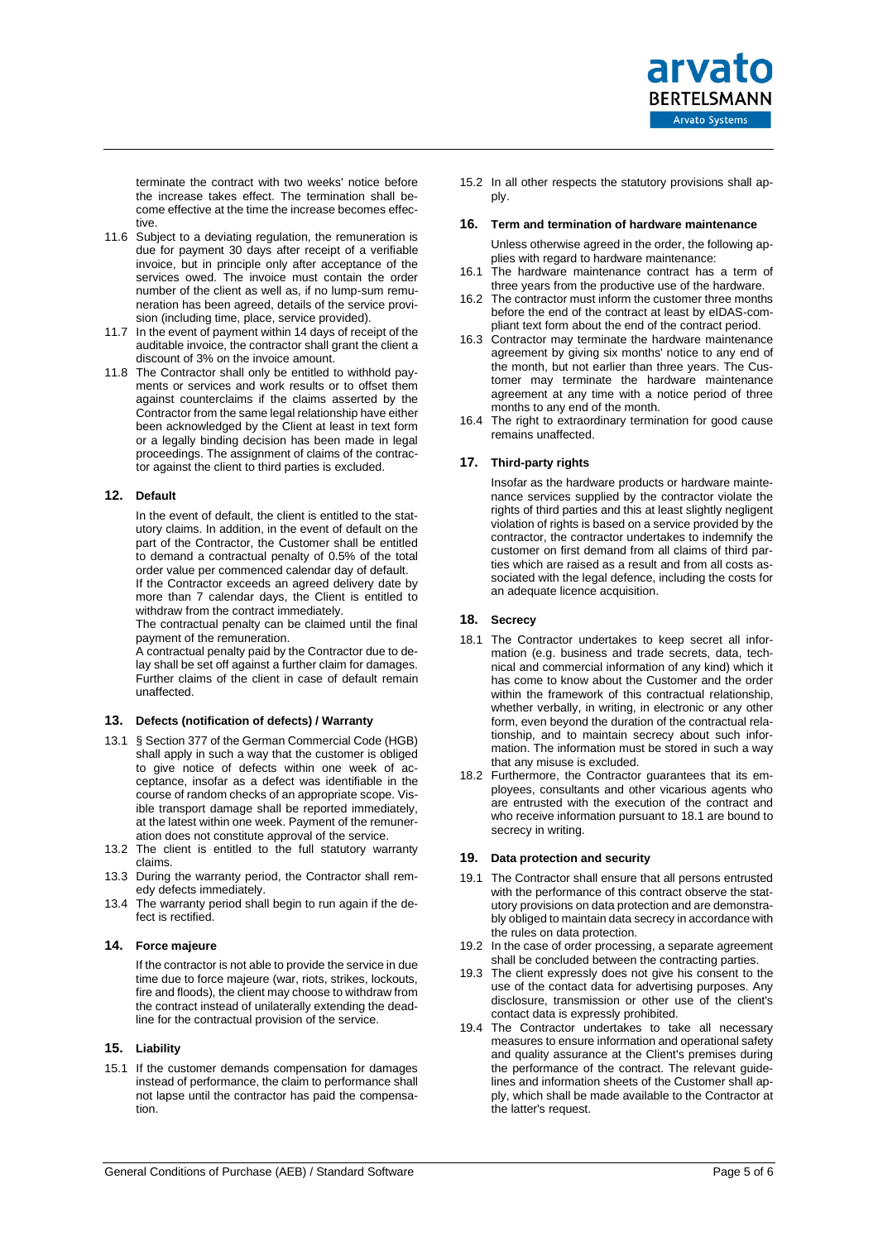

terminate the contract with two weeks' notice before the increase takes effect. The termination shall become effective at the time the increase becomes effective.

- 11.6 Subject to a deviating regulation, the remuneration is due for payment 30 days after receipt of a verifiable invoice, but in principle only after acceptance of the services owed. The invoice must contain the order number of the client as well as, if no lump-sum remuneration has been agreed, details of the service provision (including time, place, service provided).
- 11.7 In the event of payment within 14 days of receipt of the auditable invoice, the contractor shall grant the client a discount of 3% on the invoice amount.
- 11.8 The Contractor shall only be entitled to withhold payments or services and work results or to offset them against counterclaims if the claims asserted by the Contractor from the same legal relationship have either been acknowledged by the Client at least in text form or a legally binding decision has been made in legal proceedings. The assignment of claims of the contractor against the client to third parties is excluded.

# **12. Default**

In the event of default, the client is entitled to the statutory claims. In addition, in the event of default on the part of the Contractor, the Customer shall be entitled to demand a contractual penalty of 0.5% of the total order value per commenced calendar day of default.

If the Contractor exceeds an agreed delivery date by more than 7 calendar days, the Client is entitled to withdraw from the contract immediately.

The contractual penalty can be claimed until the final payment of the remuneration.

A contractual penalty paid by the Contractor due to delay shall be set off against a further claim for damages. Further claims of the client in case of default remain unaffected.

# **13. Defects (notification of defects) / Warranty**

- 13.1 § Section 377 of the German Commercial Code (HGB) shall apply in such a way that the customer is obliged to give notice of defects within one week of acceptance, insofar as a defect was identifiable in the course of random checks of an appropriate scope. Visible transport damage shall be reported immediately, at the latest within one week. Payment of the remuneration does not constitute approval of the service.
- 13.2 The client is entitled to the full statutory warranty claims.
- 13.3 During the warranty period, the Contractor shall remedy defects immediately.
- 13.4 The warranty period shall begin to run again if the defect is rectified.

#### **14. Force majeure**

If the contractor is not able to provide the service in due time due to force majeure (war, riots, strikes, lockouts, fire and floods), the client may choose to withdraw from the contract instead of unilaterally extending the deadline for the contractual provision of the service.

#### **15. Liability**

15.1 If the customer demands compensation for damages instead of performance, the claim to performance shall not lapse until the contractor has paid the compensation.

15.2 In all other respects the statutory provisions shall apply.

#### **16. Term and termination of hardware maintenance**

Unless otherwise agreed in the order, the following applies with regard to hardware maintenance:

- 16.1 The hardware maintenance contract has a term of three years from the productive use of the hardware.
- 16.2 The contractor must inform the customer three months before the end of the contract at least by eIDAS-compliant text form about the end of the contract period.
- 16.3 Contractor may terminate the hardware maintenance agreement by giving six months' notice to any end of the month, but not earlier than three years. The Customer may terminate the hardware maintenance agreement at any time with a notice period of three months to any end of the month.
- 16.4 The right to extraordinary termination for good cause remains unaffected.

#### **17. Third-party rights**

Insofar as the hardware products or hardware maintenance services supplied by the contractor violate the rights of third parties and this at least slightly negligent violation of rights is based on a service provided by the contractor, the contractor undertakes to indemnify the customer on first demand from all claims of third parties which are raised as a result and from all costs associated with the legal defence, including the costs for an adequate licence acquisition.

#### **18. Secrecy**

- <span id="page-4-0"></span>18.1 The Contractor undertakes to keep secret all information (e.g. business and trade secrets, data, technical and commercial information of any kind) which it has come to know about the Customer and the order within the framework of this contractual relationship, whether verbally, in writing, in electronic or any other form, even beyond the duration of the contractual relationship, and to maintain secrecy about such information. The information must be stored in such a way that any misuse is excluded.
- 18.2 Furthermore, the Contractor guarantees that its employees, consultants and other vicarious agents who are entrusted with the execution of the contract and who receive information pursuant to [18.1](#page-4-0) are bound to secrecy in writing.

#### **19. Data protection and security**

- 19.1 The Contractor shall ensure that all persons entrusted with the performance of this contract observe the statutory provisions on data protection and are demonstrably obliged to maintain data secrecy in accordance with the rules on data protection.
- 19.2 In the case of order processing, a separate agreement shall be concluded between the contracting parties.
- 19.3 The client expressly does not give his consent to the use of the contact data for advertising purposes. Any disclosure, transmission or other use of the client's contact data is expressly prohibited.
- 19.4 The Contractor undertakes to take all necessary measures to ensure information and operational safety and quality assurance at the Client's premises during the performance of the contract. The relevant guidelines and information sheets of the Customer shall apply, which shall be made available to the Contractor at the latter's request.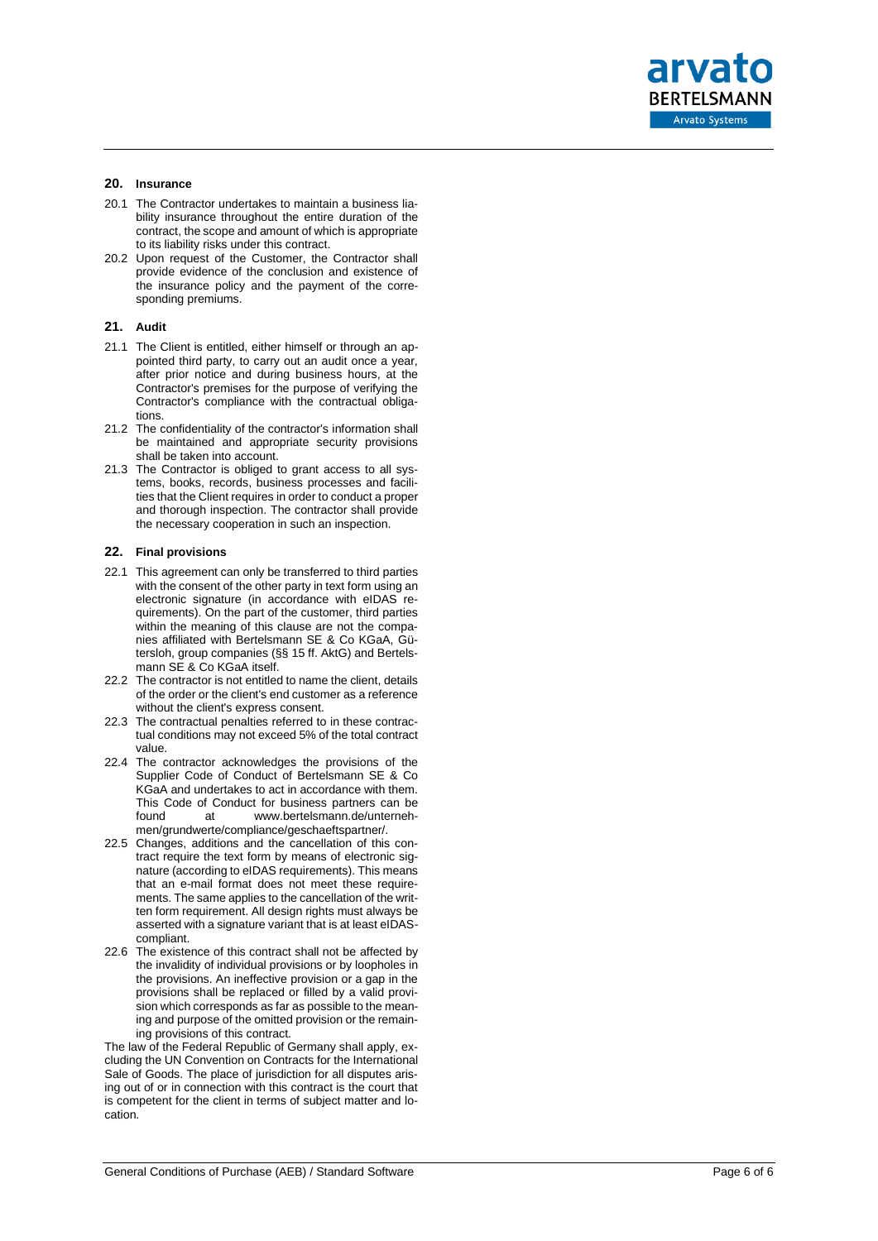arvato **BERTELSMANN** Arvato Systems

# **20. Insurance**

- 20.1 The Contractor undertakes to maintain a business liability insurance throughout the entire duration of the contract, the scope and amount of which is appropriate to its liability risks under this contract.
- 20.2 Upon request of the Customer, the Contractor shall provide evidence of the conclusion and existence of the insurance policy and the payment of the corresponding premiums.

#### **21. Audit**

- 21.1 The Client is entitled, either himself or through an appointed third party, to carry out an audit once a year, after prior notice and during business hours, at the Contractor's premises for the purpose of verifying the Contractor's compliance with the contractual obligations.
- 21.2 The confidentiality of the contractor's information shall be maintained and appropriate security provisions shall be taken into account.
- 21.3 The Contractor is obliged to grant access to all systems, books, records, business processes and facilities that the Client requires in order to conduct a proper and thorough inspection. The contractor shall provide the necessary cooperation in such an inspection.

#### **22. Final provisions**

- 22.1 This agreement can only be transferred to third parties with the consent of the other party in text form using an electronic signature (in accordance with eIDAS requirements). On the part of the customer, third parties within the meaning of this clause are not the companies affiliated with Bertelsmann SE & Co KGaA, Gütersloh, group companies (§§ 15 ff. AktG) and Bertelsmann SE & Co KGaA itself.
- 22.2 The contractor is not entitled to name the client, details of the order or the client's end customer as a reference without the client's express consent.
- 22.3 The contractual penalties referred to in these contractual conditions may not exceed 5% of the total contract value.
- 22.4 The contractor acknowledges the provisions of the Supplier Code of Conduct of Bertelsmann SE & Co KGaA and undertakes to act in accordance with them. This Code of Conduct for business partners can be<br>found at www.bertelsmann.de/unternehwww.bertelsmann.de/unternehmen/grundwerte/compliance/geschaeftspartner/.
- 22.5 Changes, additions and the cancellation of this contract require the text form by means of electronic signature (according to eIDAS requirements). This means that an e -mail format does not meet these requirements. The same applies to the cancellation of the written form requirement. All design rights must always be asserted with a signature variant that is at least eIDAS compliant.
- 22.6 The existence of this contract shall not be affected by the invalidity of individual provisions or by loopholes in the provisions. An ineffective provision or a gap in the provisions shall be replaced or filled by a valid provision which corresponds as far as possible to the meaning and purpose of the omitted provision or the remaining provisions of this contract.

The law of the Federal Republic of Germany shall apply, excluding the UN Convention on Contracts for the International Sale of Goods. The place of jurisdiction for all disputes arising out of or in connection with this contract is the court that is competent for the client in terms of subject matter and location.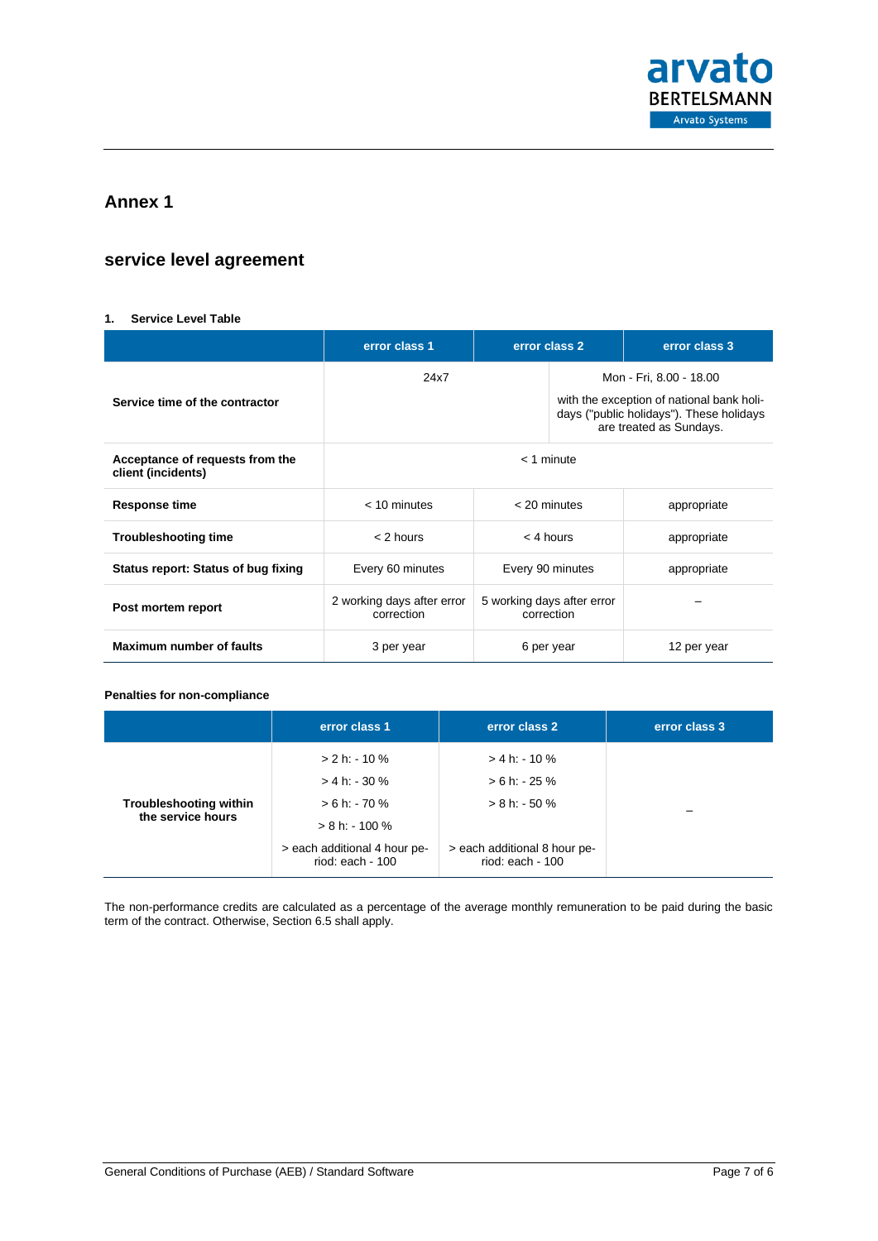

# **Annex 1**

# **service level agreement**

# <span id="page-6-0"></span>**1. Service Level Table**

|                                                       | error class 1                            | error class 2                            |                                                                                                                  | error class 3 |  |
|-------------------------------------------------------|------------------------------------------|------------------------------------------|------------------------------------------------------------------------------------------------------------------|---------------|--|
|                                                       | 24x7                                     |                                          | Mon - Fri, 8.00 - 18.00                                                                                          |               |  |
| Service time of the contractor                        |                                          |                                          | with the exception of national bank holi-<br>days ("public holidays"). These holidays<br>are treated as Sundays. |               |  |
| Acceptance of requests from the<br>client (incidents) | $<$ 1 minute                             |                                          |                                                                                                                  |               |  |
| <b>Response time</b>                                  | $<$ 10 minutes                           | $<$ 20 minutes                           |                                                                                                                  | appropriate   |  |
| <b>Troubleshooting time</b>                           | $<$ 2 hours                              | $<$ 4 hours                              |                                                                                                                  | appropriate   |  |
| Status report: Status of bug fixing                   | Every 60 minutes                         | Every 90 minutes                         |                                                                                                                  | appropriate   |  |
| Post mortem report                                    | 2 working days after error<br>correction | 5 working days after error<br>correction |                                                                                                                  |               |  |
| <b>Maximum number of faults</b>                       | 3 per year                               | 6 per year                               |                                                                                                                  | 12 per year   |  |

## **Penalties for non-compliance**

|                                                    | error class 1                                    | error class 2                                    | error class 3 |
|----------------------------------------------------|--------------------------------------------------|--------------------------------------------------|---------------|
| <b>Troubleshooting within</b><br>the service hours | $> 2 h$ : 10 %<br>$> 4 h. - 30 %$                | $> 4 h: -10 %$<br>$> 6 h - 25 %$                 |               |
|                                                    | $> 6 h - 70 %$<br>$> 8 h$ : - 100 %              | $> 8 h - 50 %$                                   |               |
|                                                    | > each additional 4 hour pe-<br>riod: each - 100 | > each additional 8 hour pe-<br>riod: each - 100 |               |

The non-performance credits are calculated as a percentage of the average monthly remuneration to be paid during the basic term of the contract. Otherwise, Section 6.5 shall apply.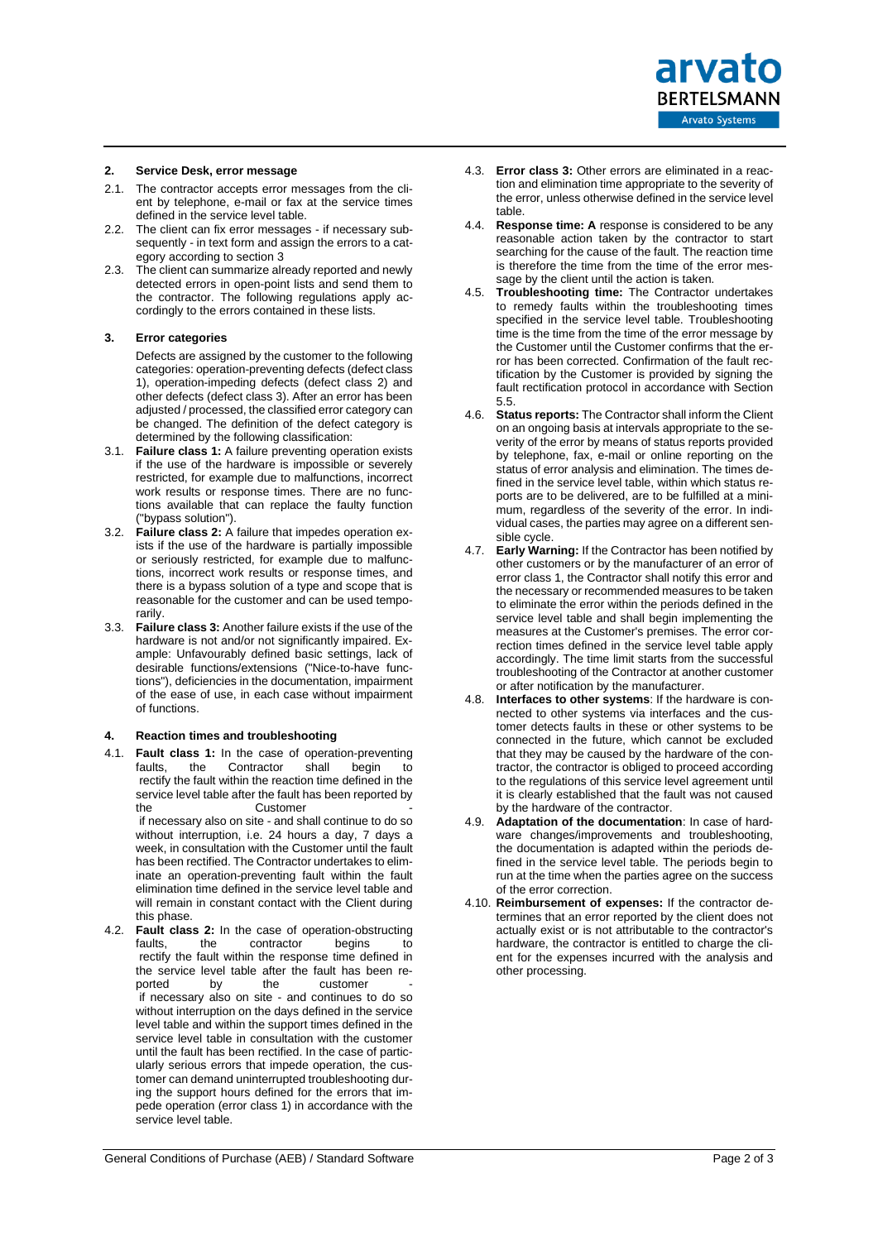

# **2. Service Desk, error message**

- 2.1. The contractor accepts error messages from the client by telephone, e-mail or fax at the service times defined in the service level table.
- 2.2. The client can fix error messages if necessary subsequently - in text form and assign the errors to a category according to section [3](#page-7-0)
- 2.3. The client can summarize already reported and newly detected errors in open-point lists and send them to the contractor. The following regulations apply accordingly to the errors contained in these lists.

#### <span id="page-7-0"></span>**3. Error categories**

Defects are assigned by the customer to the following categories: operation-preventing defects (defect class 1), operation-impeding defects (defect class 2) and other defects (defect class 3). After an error has been adjusted / processed, the classified error category can be changed. The definition of the defect category is determined by the following classification:

- 3.1. **Failure class 1:** A failure preventing operation exists if the use of the hardware is impossible or severely restricted, for example due to malfunctions, incorrect work results or response times. There are no functions available that can replace the faulty function ("bypass solution").
- 3.2. **Failure class 2:** A failure that impedes operation exists if the use of the hardware is partially impossible or seriously restricted, for example due to malfunctions, incorrect work results or response times, and there is a bypass solution of a type and scope that is reasonable for the customer and can be used temporarily.
- 3.3. **Failure class 3:** Another failure exists if the use of the hardware is not and/or not significantly impaired. Example: Unfavourably defined basic settings, lack of desirable functions/extensions ("Nice-to-have functions"), deficiencies in the documentation, impairment of the ease of use, in each case without impairment of functions.

#### **4. Reaction times and troubleshooting**

- 4.1. **Fault class 1:** In the case of operation-preventing<br>faults. the Contractor shall begin to faults, the Contractor shall begin to rectify the fault within the reaction time defined in the service level table after the fault has been reported by the Customer **community** contains the containing containing  $\sim$ if necessary also on site - and shall continue to do so without interruption, i.e. 24 hours a day, 7 days a week, in consultation with the Customer until the fault has been rectified. The Contractor undertakes to eliminate an operation-preventing fault within the fault elimination time defined in the service level table and will remain in constant contact with the Client during this phase. 4.2. **Fault class 2:** In the case of operation-obstructing faults, the contractor begins to contractor
- rectify the fault within the response time defined in the service level table after the fault has been re-<br>ported by the customer ported by the customer if necessary also on site - and continues to do so without interruption on the days defined in the service level table and within the support times defined in the service level table in consultation with the customer until the fault has been rectified. In the case of particularly serious errors that impede operation, the customer can demand uninterrupted troubleshooting during the support hours defined for the errors that impede operation (error class 1) in accordance with the service level table.
- 4.3. **Error class 3:** Other errors are eliminated in a reaction and elimination time appropriate to the severity of the error, unless otherwise defined in the service level table.
- 4.4. **Response time: A** response is considered to be any reasonable action taken by the contractor to start searching for the cause of the fault. The reaction time is therefore the time from the time of the error message by the client until the action is taken.
- 4.5. **Troubleshooting time:** The Contractor undertakes to remedy faults within the troubleshooting times specified in the service level table. Troubleshooting time is the time from the time of the error message by the Customer until the Customer confirms that the error has been corrected. Confirmation of the fault rectification by the Customer is provided by signing the fault rectification protocol in accordance with Section [5.5.](#page-8-0)
- <span id="page-7-1"></span>4.6. **Status reports:** The Contractor shall inform the Client on an ongoing basis at intervals appropriate to the severity of the error by means of status reports provided by telephone, fax, e-mail or online reporting on the status of error analysis and elimination. The times defined in the service level table, within which status reports are to be delivered, are to be fulfilled at a minimum, regardless of the severity of the error. In individual cases, the parties may agree on a different sensible cycle.
- 4.7. **Early Warning:** If the Contractor has been notified by other customers or by the manufacturer of an error of error class 1, the Contractor shall notify this error and the necessary or recommended measures to be taken to eliminate the error within the periods defined in the service level table and shall begin implementing the measures at the Customer's premises. The error correction times defined in the service level table apply accordingly. The time limit starts from the successful troubleshooting of the Contractor at another customer or after notification by the manufacturer.
- 4.8. **Interfaces to other systems**: If the hardware is connected to other systems via interfaces and the customer detects faults in these or other systems to be connected in the future, which cannot be excluded that they may be caused by the hardware of the contractor, the contractor is obliged to proceed according to the regulations of this service level agreement until it is clearly established that the fault was not caused by the hardware of the contractor.
- 4.9. **Adaptation of the documentation**: In case of hardware changes/improvements and troubleshooting, the documentation is adapted within the periods defined in the service level table. The periods begin to run at the time when the parties agree on the success of the error correction.
- 4.10. **Reimbursement of expenses:** If the contractor determines that an error reported by the client does not actually exist or is not attributable to the contractor's hardware, the contractor is entitled to charge the client for the expenses incurred with the analysis and other processing.